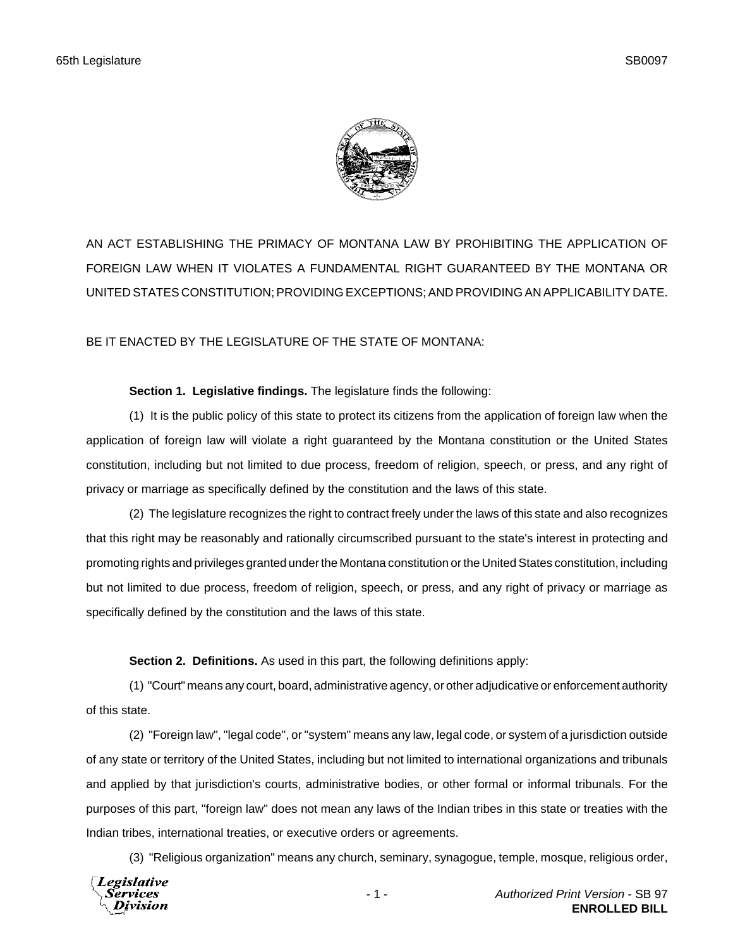

AN ACT ESTABLISHING THE PRIMACY OF MONTANA LAW BY PROHIBITING THE APPLICATION OF FOREIGN LAW WHEN IT VIOLATES A FUNDAMENTAL RIGHT GUARANTEED BY THE MONTANA OR UNITED STATES CONSTITUTION; PROVIDING EXCEPTIONS; AND PROVIDING AN APPLICABILITY DATE.

BE IT ENACTED BY THE LEGISLATURE OF THE STATE OF MONTANA:

## **Section 1. Legislative findings.** The legislature finds the following:

(1) It is the public policy of this state to protect its citizens from the application of foreign law when the application of foreign law will violate a right guaranteed by the Montana constitution or the United States constitution, including but not limited to due process, freedom of religion, speech, or press, and any right of privacy or marriage as specifically defined by the constitution and the laws of this state.

(2) The legislature recognizes the right to contract freely under the laws of this state and also recognizes that this right may be reasonably and rationally circumscribed pursuant to the state's interest in protecting and promoting rights and privileges granted under the Montana constitution or the United States constitution, including but not limited to due process, freedom of religion, speech, or press, and any right of privacy or marriage as specifically defined by the constitution and the laws of this state.

**Section 2. Definitions.** As used in this part, the following definitions apply:

(1) "Court" means any court, board, administrative agency, or other adjudicative or enforcement authority of this state.

(2) "Foreign law", "legal code", or "system" means any law, legal code, or system of a jurisdiction outside of any state or territory of the United States, including but not limited to international organizations and tribunals and applied by that jurisdiction's courts, administrative bodies, or other formal or informal tribunals. For the purposes of this part, "foreign law" does not mean any laws of the Indian tribes in this state or treaties with the Indian tribes, international treaties, or executive orders or agreements.

(3) "Religious organization" means any church, seminary, synagogue, temple, mosque, religious order,

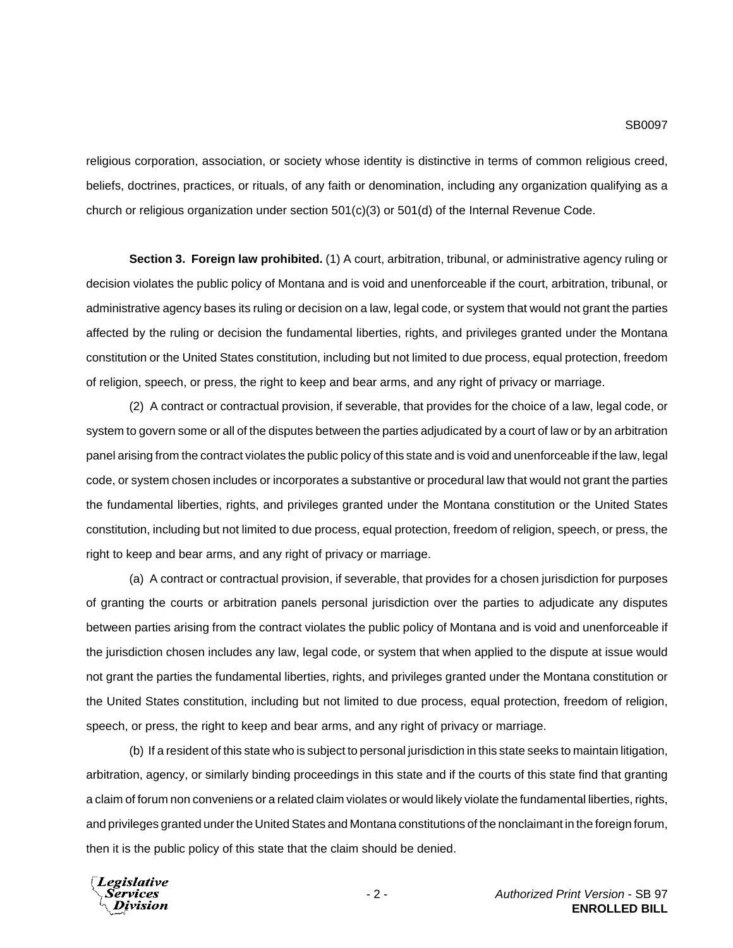religious corporation, association, or society whose identity is distinctive in terms of common religious creed, beliefs, doctrines, practices, or rituals, of any faith or denomination, including any organization qualifying as a church or religious organization under section 501(c)(3) or 501(d) of the Internal Revenue Code.

**Section 3. Foreign law prohibited.** (1) A court, arbitration, tribunal, or administrative agency ruling or decision violates the public policy of Montana and is void and unenforceable if the court, arbitration, tribunal, or administrative agency bases its ruling or decision on a law, legal code, or system that would not grant the parties affected by the ruling or decision the fundamental liberties, rights, and privileges granted under the Montana constitution or the United States constitution, including but not limited to due process, equal protection, freedom of religion, speech, or press, the right to keep and bear arms, and any right of privacy or marriage.

(2) A contract or contractual provision, if severable, that provides for the choice of a law, legal code, or system to govern some or all of the disputes between the parties adjudicated by a court of law or by an arbitration panel arising from the contract violates the public policy of this state and is void and unenforceable if the law, legal code, or system chosen includes or incorporates a substantive or procedural law that would not grant the parties the fundamental liberties, rights, and privileges granted under the Montana constitution or the United States constitution, including but not limited to due process, equal protection, freedom of religion, speech, or press, the right to keep and bear arms, and any right of privacy or marriage.

(a) A contract or contractual provision, if severable, that provides for a chosen jurisdiction for purposes of granting the courts or arbitration panels personal jurisdiction over the parties to adjudicate any disputes between parties arising from the contract violates the public policy of Montana and is void and unenforceable if the jurisdiction chosen includes any law, legal code, or system that when applied to the dispute at issue would not grant the parties the fundamental liberties, rights, and privileges granted under the Montana constitution or the United States constitution, including but not limited to due process, equal protection, freedom of religion, speech, or press, the right to keep and bear arms, and any right of privacy or marriage.

(b) If a resident of this state who is subject to personal jurisdiction in this state seeks to maintain litigation, arbitration, agency, or similarly binding proceedings in this state and if the courts of this state find that granting a claim of forum non conveniens or a related claim violates or would likely violate the fundamental liberties, rights, and privileges granted under the United States and Montana constitutions of the nonclaimant in the foreign forum, then it is the public policy of this state that the claim should be denied.

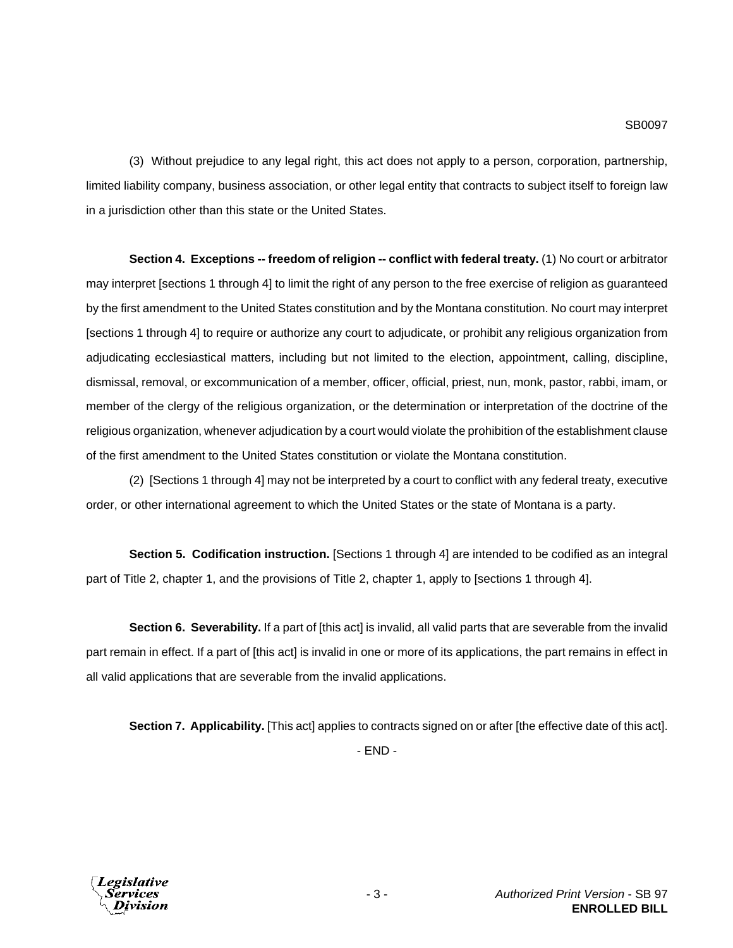(3) Without prejudice to any legal right, this act does not apply to a person, corporation, partnership, limited liability company, business association, or other legal entity that contracts to subject itself to foreign law in a jurisdiction other than this state or the United States.

**Section 4. Exceptions -- freedom of religion -- conflict with federal treaty.** (1) No court or arbitrator may interpret [sections 1 through 4] to limit the right of any person to the free exercise of religion as guaranteed by the first amendment to the United States constitution and by the Montana constitution. No court may interpret [sections 1 through 4] to require or authorize any court to adjudicate, or prohibit any religious organization from adjudicating ecclesiastical matters, including but not limited to the election, appointment, calling, discipline, dismissal, removal, or excommunication of a member, officer, official, priest, nun, monk, pastor, rabbi, imam, or member of the clergy of the religious organization, or the determination or interpretation of the doctrine of the religious organization, whenever adjudication by a court would violate the prohibition of the establishment clause of the first amendment to the United States constitution or violate the Montana constitution.

(2) [Sections 1 through 4] may not be interpreted by a court to conflict with any federal treaty, executive order, or other international agreement to which the United States or the state of Montana is a party.

**Section 5. Codification instruction.** [Sections 1 through 4] are intended to be codified as an integral part of Title 2, chapter 1, and the provisions of Title 2, chapter 1, apply to [sections 1 through 4].

**Section 6. Severability.** If a part of [this act] is invalid, all valid parts that are severable from the invalid part remain in effect. If a part of [this act] is invalid in one or more of its applications, the part remains in effect in all valid applications that are severable from the invalid applications.

**Section 7. Applicability.** [This act] applies to contracts signed on or after [the effective date of this act]. - END -

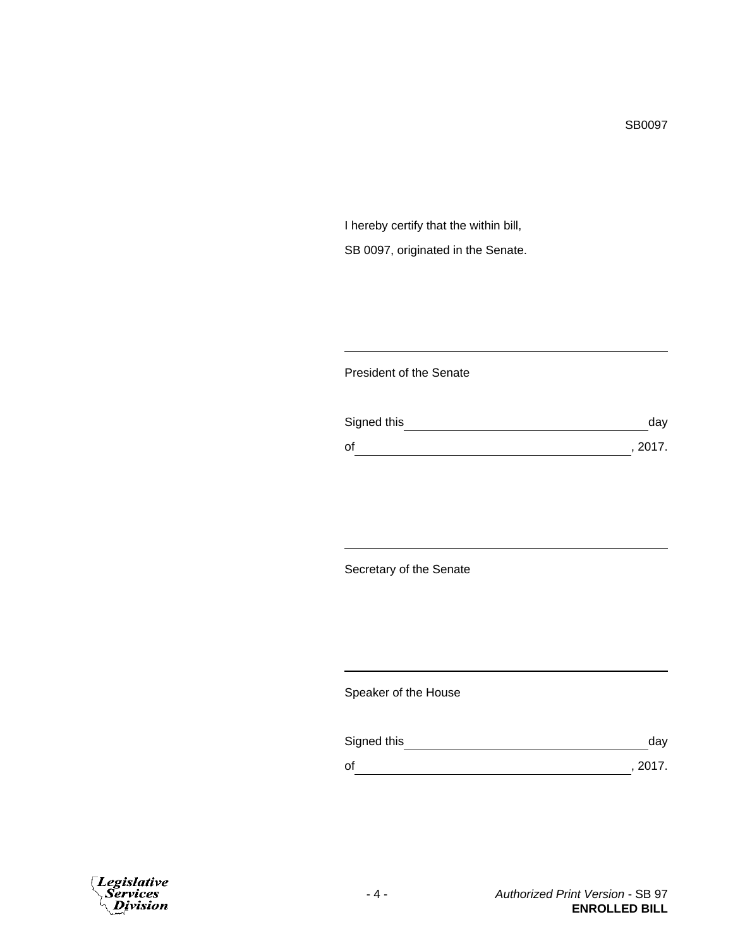I hereby certify that the within bill, SB 0097, originated in the Senate.

## President of the Senate

| Signed this | day     |
|-------------|---------|
| οf          | , 2017. |

Secretary of the Senate

Speaker of the House

| Signed this | dav     |
|-------------|---------|
| оf          | , 2017. |